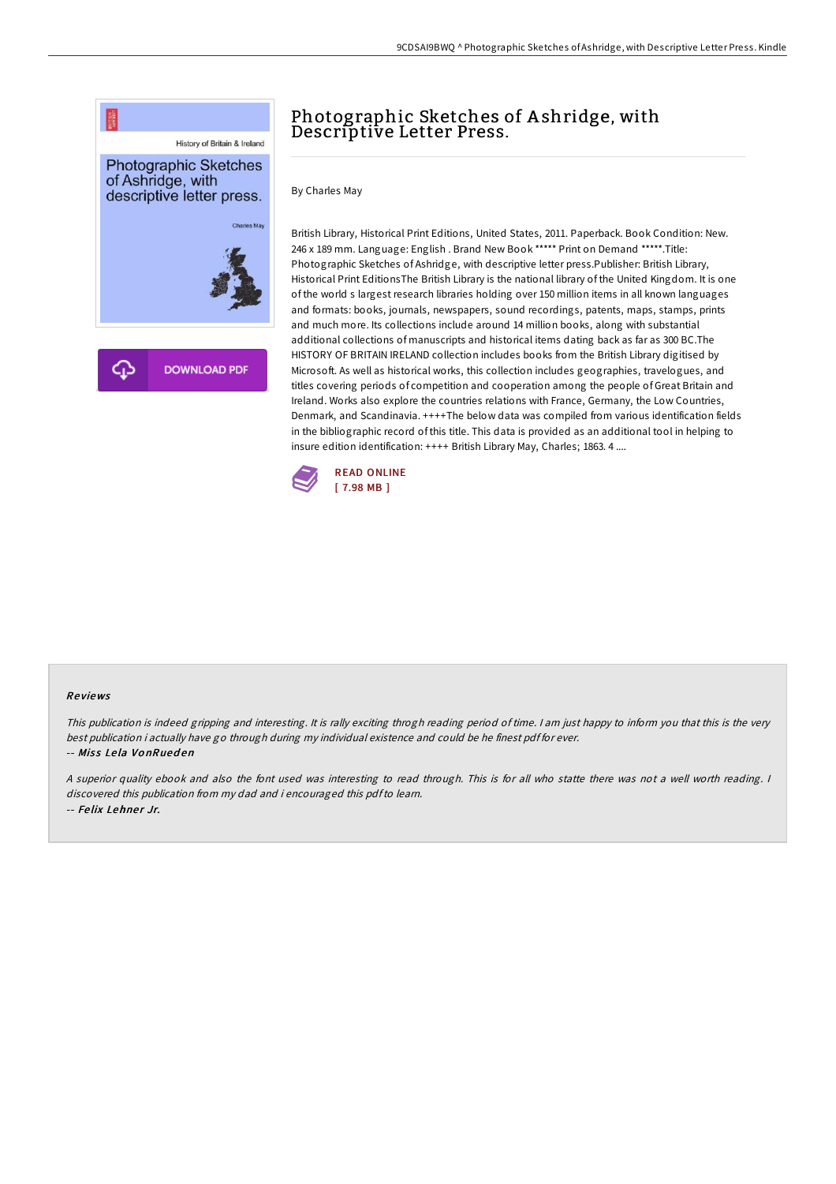

# Photographic Sketches of Ashridge, with Descriptive Letter Press.

By Charles May

British Library, Historical Print Editions, United States, 2011. Paperback. Book Condition: New. 246 x 189 mm. Language: English . Brand New Book \*\*\*\*\* Print on Demand \*\*\*\*\*.Title: Photographic Sketches of Ashridge, with descriptive letter press.Publisher: British Library, Historical Print EditionsThe British Library is the national library of the United Kingdom. It is one of the world s largest research libraries holding over 150 million items in all known languages and formats: books, journals, newspapers, sound recordings, patents, maps, stamps, prints and much more. Its collections include around 14 million books, along with substantial additional collections of manuscripts and historical items dating back as far as 300 BC.The HISTORY OF BRITAIN IRELAND collection includes books from the British Library digitised by Microsoft. As well as historical works, this collection includes geographies, travelogues, and titles covering periods of competition and cooperation among the people of Great Britain and Ireland. Works also explore the countries relations with France, Germany, the Low Countries, Denmark, and Scandinavia. ++++The below data was compiled from various identification fields in the bibliographic record of this title. This data is provided as an additional tool in helping to insure edition identification: ++++ British Library May, Charles; 1863. 4 ....



#### Re views

This publication is indeed gripping and interesting. It is rally exciting throgh reading period of time. <sup>I</sup> am just happy to inform you that this is the very best publication i actually have go through during my individual existence and could be he finest pdf for ever. -- Miss Lela VonRueden

<sup>A</sup> superior quality ebook and also the font used was interesting to read through. This is for all who statte there was not <sup>a</sup> well worth reading. <sup>I</sup> discovered this publication from my dad and i encouraged this pdfto learn. -- Felix Lehner Jr.